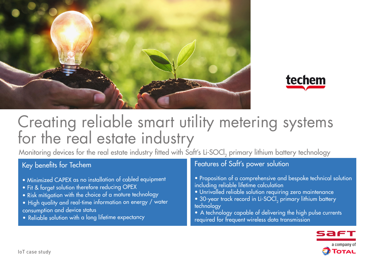



# Creating reliable smart utility metering systems for the real estate industry

Monitoring devices for the real estate industry fitted with Saft's Li-SOCl<sub>2</sub> primary lithium battery technology

## Key benefits for Techem

- Minimized CAPEX as no installation of cabled equipment
- Fit & forget solution therefore reducing OPEX
- Risk mitigation with the choice of a mature technology
- High quality and real-time information on energy / water consumption and device status
- Reliable solution with a long lifetime expectancy

## Features of Saft's power solution

- Proposition of a comprehensive and bespoke technical solution including reliable lifetime calculation
- Unrivalled reliable solution requiring zero maintenance
- 30-year track record in Li-SOCl<sub>2</sub> primary lithium battery technology
- A technology capable of delivering the high pulse currents required for frequent wireless data transmission